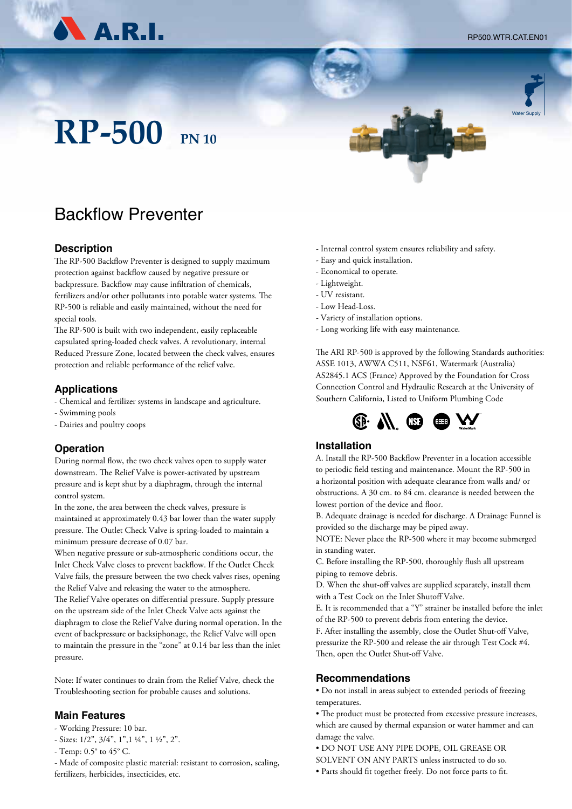RP500.WTR.CAT.EN01

Water Supply



# **RP-500 PN 10**

## Backflow Preventer

#### **Description**

The RP-500 Backflow Preventer is designed to supply maximum protection against backflow caused by negative pressure or backpressure. Backflow may cause infiltration of chemicals, fertilizers and/or other pollutants into potable water systems. The RP-500 is reliable and easily maintained, without the need for special tools.

The RP-500 is built with two independent, easily replaceable capsulated spring-loaded check valves. A revolutionary, internal Reduced Pressure Zone, located between the check valves, ensures protection and reliable performance of the relief valve.

#### **Applications**

- Chemical and fertilizer systems in landscape and agriculture.
- Swimming pools
- Dairies and poultry coops

#### **Operation**

During normal flow, the two check valves open to supply water downstream. The Relief Valve is power-activated by upstream pressure and is kept shut by a diaphragm, through the internal control system.

In the zone, the area between the check valves, pressure is maintained at approximately 0.43 bar lower than the water supply pressure. The Outlet Check Valve is spring-loaded to maintain a minimum pressure decrease of 0.07 bar.

When negative pressure or sub-atmospheric conditions occur, the Inlet Check Valve closes to prevent backflow. If the Outlet Check Valve fails, the pressure between the two check valves rises, opening the Relief Valve and releasing the water to the atmosphere. The Relief Valve operates on differential pressure. Supply pressure on the upstream side of the Inlet Check Valve acts against the diaphragm to close the Relief Valve during normal operation. In the event of backpressure or backsiphonage, the Relief Valve will open to maintain the pressure in the "zone" at 0.14 bar less than the inlet pressure.

Note: If water continues to drain from the Relief Valve, check the Troubleshooting section for probable causes and solutions.

#### **Main Features**

- Working Pressure: 10 bar.
- Sizes: 1/2", 3/4", 1",1 ¼", 1 ½", 2".
- Temp: 0.5° to 45° C.

- Made of composite plastic material: resistant to corrosion, scaling, fertilizers, herbicides, insecticides, etc.

- Internal control system ensures reliability and safety.
- Easy and quick installation.
- Economical to operate.
- Lightweight.
- UV resistant.
- Low Head-Loss.
- Variety of installation options.
- Long working life with easy maintenance.

The ARI RP-500 is approved by the following Standards authorities: ASSE 1013, AWWA C511, NSF61, Watermark (Australia) AS2845.1 ACS (France) Approved by the Foundation for Cross Connection Control and Hydraulic Research at the University of Southern California, Listed to Uniform Plumbing Code



#### **Installation**

A. Install the RP-500 Backflow Preventer in a location accessible to periodic field testing and maintenance. Mount the RP-500 in a horizontal position with adequate clearance from walls and/ or obstructions. A 30 cm. to 84 cm. clearance is needed between the lowest portion of the device and floor.

B. Adequate drainage is needed for discharge. A Drainage Funnel is provided so the discharge may be piped away.

NOTE: Never place the RP-500 where it may become submerged in standing water.

C. Before installing the RP-500, thoroughly flush all upstream piping to remove debris.

D. When the shut-off valves are supplied separately, install them with a Test Cock on the Inlet Shutoff Valve.

E. It is recommended that a "Y" strainer be installed before the inlet of the RP-500 to prevent debris from entering the device.

F. After installing the assembly, close the Outlet Shut-off Valve, pressurize the RP-500 and release the air through Test Cock #4. Then, open the Outlet Shut-off Valve.

#### **Recommendations**

• Do not install in areas subject to extended periods of freezing temperatures.

- The product must be protected from excessive pressure increases, which are caused by thermal expansion or water hammer and can damage the valve.
- DO NOT USE ANY PIPE DOPE, OIL GREASE OR
- SOLVENT ON ANY PARTS unless instructed to do so.
- Parts should fit together freely. Do not force parts to fit.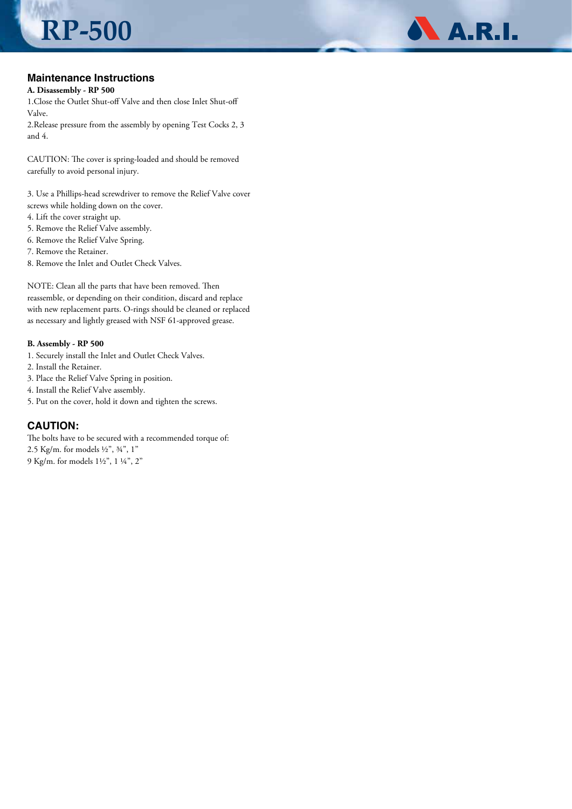#### **Maintenance Instructions**

**RP-500**

#### **A. Disassembly - RP 500**

1.Close the Outlet Shut-off Valve and then close Inlet Shut-off Valve.

2.Release pressure from the assembly by opening Test Cocks 2, 3 and 4.

CAUTION: The cover is spring-loaded and should be removed carefully to avoid personal injury.

3. Use a Phillips-head screwdriver to remove the Relief Valve cover screws while holding down on the cover.

- 4. Lift the cover straight up.
- 5. Remove the Relief Valve assembly.
- 6. Remove the Relief Valve Spring.
- 7. Remove the Retainer.
- 8. Remove the Inlet and Outlet Check Valves.

NOTE: Clean all the parts that have been removed. Then reassemble, or depending on their condition, discard and replace with new replacement parts. O-rings should be cleaned or replaced as necessary and lightly greased with NSF 61-approved grease.

#### **B. Assembly - RP 500**

- 1. Securely install the Inlet and Outlet Check Valves.
- 2. Install the Retainer.
- 3. Place the Relief Valve Spring in position.
- 4. Install the Relief Valve assembly.
- 5. Put on the cover, hold it down and tighten the screws.

#### **CAUTION:**

The bolts have to be secured with a recommended torque of: 2.5 Kg/m. for models ½", ¾", 1" 9 Kg/m. for models 1½", 1 ¼", 2"

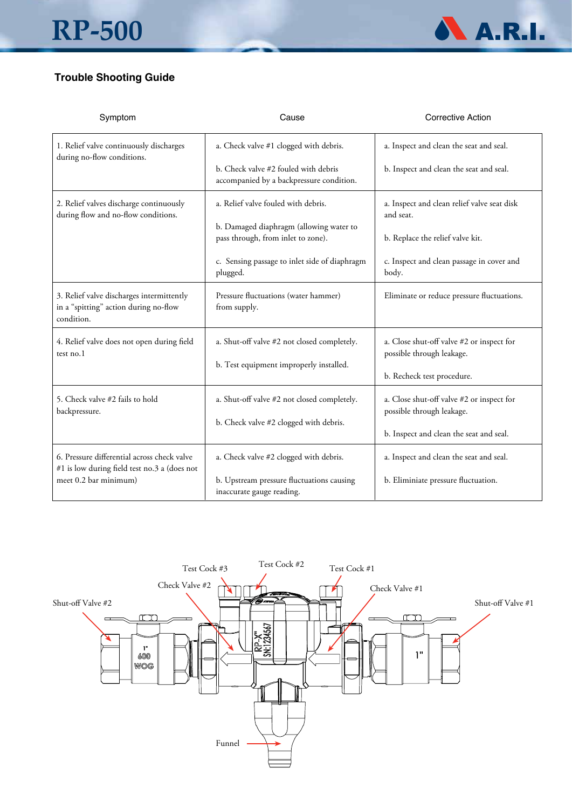

### **Trouble Shooting Guide**

| Symptom                                                                                          | Cause                                                                            | <b>Corrective Action</b>                                               |  |
|--------------------------------------------------------------------------------------------------|----------------------------------------------------------------------------------|------------------------------------------------------------------------|--|
| 1. Relief valve continuously discharges<br>during no-flow conditions.                            | a. Check valve #1 clogged with debris.                                           | a. Inspect and clean the seat and seal.                                |  |
|                                                                                                  | b. Check valve #2 fouled with debris<br>accompanied by a backpressure condition. | b. Inspect and clean the seat and seal.                                |  |
| 2. Relief valves discharge continuously<br>during flow and no-flow conditions.                   | a. Relief valve fouled with debris.                                              | a. Inspect and clean relief valve seat disk<br>and seat.               |  |
|                                                                                                  | b. Damaged diaphragm (allowing water to<br>pass through, from inlet to zone).    | b. Replace the relief valve kit.                                       |  |
|                                                                                                  | c. Sensing passage to inlet side of diaphragm<br>plugged.                        | c. Inspect and clean passage in cover and<br>body.                     |  |
| 3. Relief valve discharges intermittently<br>in a "spitting" action during no-flow<br>condition. | Pressure fluctuations (water hammer)<br>from supply.                             | Eliminate or reduce pressure fluctuations.                             |  |
| 4. Relief valve does not open during field<br>test no.1                                          | a. Shut-off valve #2 not closed completely.                                      | a. Close shut-off valve #2 or inspect for<br>possible through leakage. |  |
|                                                                                                  | b. Test equipment improperly installed.                                          | b. Recheck test procedure.                                             |  |
| 5. Check valve #2 fails to hold<br>backpressure.                                                 | a. Shut-off valve #2 not closed completely.                                      | a. Close shut-off valve #2 or inspect for<br>possible through leakage. |  |
|                                                                                                  | b. Check valve #2 clogged with debris.                                           | b. Inspect and clean the seat and seal.                                |  |
| 6. Pressure differential across check valve<br>#1 is low during field test no.3 a (does not      | a. Check valve #2 clogged with debris.                                           | a. Inspect and clean the seat and seal.                                |  |
| meet 0.2 bar minimum)                                                                            | b. Upstream pressure fluctuations causing<br>inaccurate gauge reading.           | b. Eliminiate pressure fluctuation.                                    |  |